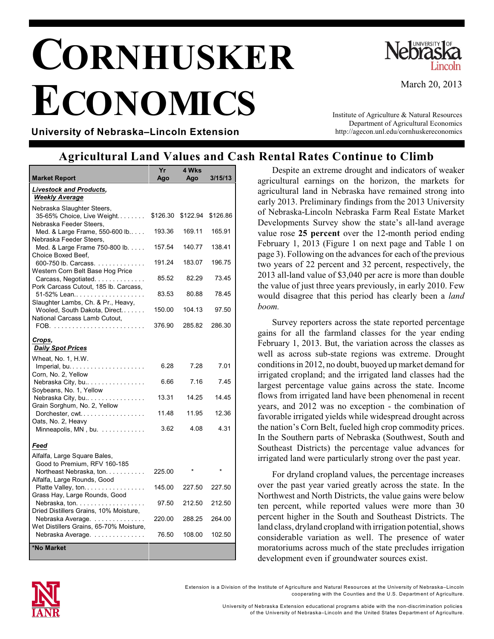## **CORNHUSKER ECONOMICS**



March 20, 2013

**University of Nebraska–Lincoln Extension**

Institute of Agriculture & Natural Resources Department of Agricultural Economics http://agecon.unl.edu/cornhuskereconomics

## **Agricultural Land Values and Cash Rental Rates Continue to Climb**

| <b>Market Report</b>                                                                | Yr<br>Aao | 4 Wks<br>Ago | 3/15/13  |
|-------------------------------------------------------------------------------------|-----------|--------------|----------|
| <b>Livestock and Products,</b>                                                      |           |              |          |
| <b>Weekly Average</b>                                                               |           |              |          |
| Nebraska Slaughter Steers,<br>35-65% Choice, Live Weight<br>Nebraska Feeder Steers, | \$126.30  | \$122.94     | \$126.86 |
| Med. & Large Frame, 550-600 lb<br>Nebraska Feeder Steers,                           | 193.36    | 169.11       | 165.91   |
| Med. & Large Frame 750-800 lb.<br>Choice Boxed Beef,                                | 157.54    | 140.77       | 138.41   |
| 600-750 lb. Carcass.<br>Western Corn Belt Base Hog Price                            | 191.24    | 183.07       | 196.75   |
| Carcass, Negotiated.<br>Pork Carcass Cutout, 185 lb. Carcass,                       | 85.52     | 82.29        | 73.45    |
| 51-52% Lean<br>Slaughter Lambs, Ch. & Pr., Heavy,                                   | 83.53     | 80.88        | 78.45    |
| Wooled, South Dakota, Direct<br>National Carcass Lamb Cutout,                       | 150.00    | 104.13       | 97.50    |
|                                                                                     | 376.90    | 285.82       | 286.30   |
| Crops,<br><b>Daily Spot Prices</b>                                                  |           |              |          |
| Wheat, No. 1, H.W.<br>Imperial, bu                                                  | 6.28      | 7.28         | 7.01     |
| Corn, No. 2, Yellow<br>Nebraska City, bu<br>Soybeans, No. 1, Yellow                 | 6.66      | 7.16         | 7.45     |
| Nebraska City, bu<br>Grain Sorghum, No. 2, Yellow                                   | 13.31     | 14.25        | 14.45    |
| Dorchester, cwt<br>Oats, No. 2, Heavy                                               | 11.48     | 11.95        | 12.36    |
| Minneapolis, MN, bu                                                                 | 3.62      | 4.08         | 4.31     |
| Feed                                                                                |           |              |          |
| Alfalfa, Large Square Bales,<br>Good to Premium, RFV 160-185                        |           |              |          |
| Northeast Nebraska, ton.<br>Alfalfa, Large Rounds, Good                             | 225.00    |              |          |
| Platte Valley, ton<br>.<br>Grass Hay, Large Rounds, Good                            | 145.00    | 227.50       | 227.50   |
| Nebraska, ton.<br>Dried Distillers Grains, 10% Moisture,                            | 97.50     | 212.50       | 212.50   |
| Nebraska Average.<br>Wet Distillers Grains, 65-70% Moisture,                        | 220.00    | 288.25       | 264.00   |
| Nebraska Average.                                                                   | 76.50     | 108.00       | 102.50   |
| *No Market                                                                          |           |              |          |

Despite an extreme drought and indicators of weaker agricultural earnings on the horizon, the markets for agricultural land in Nebraska have remained strong into early 2013. Preliminary findings from the 2013 University of Nebraska-Lincoln Nebraska Farm Real Estate Market Developments Survey show the state's all-land average value rose **25 percent** over the 12-month period ending February 1, 2013 (Figure 1 on next page and Table 1 on page 3). Following on the advances for each of the previous two years of 22 percent and 32 percent, respectively, the 2013 all-land value of \$3,040 per acre is more than double the value of just three years previously, in early 2010. Few would disagree that this period has clearly been a *land boom.*

Survey reporters across the state reported percentage gains for all the farmland classes for the year ending February 1, 2013. But, the variation across the classes as well as across sub-state regions was extreme. Drought conditions in 2012, no doubt, buoyed up market demand for irrigated cropland; and the irrigated land classes had the largest percentage value gains across the state. Income flows from irrigated land have been phenomenal in recent years, and 2012 was no exception - the combination of favorable irrigated yields while widespread drought across the nation's Corn Belt, fueled high crop commodity prices. In the Southern parts of Nebraska (Southwest, South and Southeast Districts) the percentage value advances for irrigated land were particularly strong over the past year.

For dryland cropland values, the percentage increases over the past year varied greatly across the state. In the Northwest and North Districts, the value gains were below ten percent, while reported values were more than 30 percent higher in the South and Southeast Districts. The land class, dryland cropland with irrigation potential, shows considerable variation as well. The presence of water moratoriums across much of the state precludes irrigation development even if groundwater sources exist.



Extension is a Division of the Institute of Agriculture and Natural Resources at the University of Nebraska–Lincoln cooperating with the Counties and the U.S. Departm ent of Agriculture.

> University of Nebraska Extension educational program s abide with the non-discrim ination policies of the University of Nebraska–Lincoln and the United States Departm ent of Agriculture.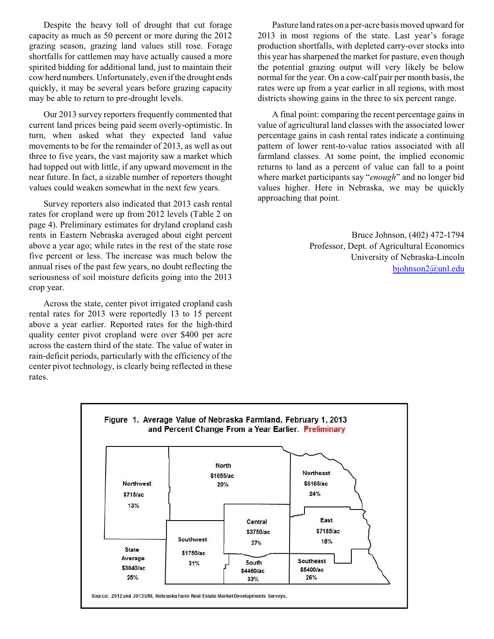Despite the heavy toll of drought that cut forage capacity as much as 50 percent or more during the 2012 grazing season, grazing land values still rose. Forage shortfalls for cattlemen may have actually caused a more spirited bidding for additional land, just to maintain their cow herd numbers. Unfortunately, even if the drought ends quickly, it may be several years before grazing capacity may be able to return to pre-drought levels.

Our 2013 survey reporters frequently commented that current land prices being paid seem overly-optimistic. In turn, when asked what they expected land value movements to be for the remainder of 2013, as well as out three to five years, the vast majority saw a market which had topped out with little, if any upward movement in the near future. In fact, a sizable number of reporters thought values could weaken somewhat in the next few years.

Survey reporters also indicated that 2013 cash rental rates for cropland were up from 2012 levels (Table 2 on page 4). Preliminary estimates for dryland cropland cash rents in Eastern Nebraska averaged about eight percent above a year ago; while rates in the rest of the state rose five percent or less. The increase was much below the annual rises of the past few years, no doubt reflecting the seriousness of soil moisture deficits going into the 2013 crop year.

Across the state, center pivot irrigated cropland cash rental rates for 2013 were reportedly 13 to 15 percent above a year earlier. Reported rates for the high-third quality center pivot cropland were over \$400 per acre across the eastern third of the state. The value of water in rain-deficit periods, particularly with the efficiency of the center pivot technology, is clearly being reflected in these rates.

Pasture land rates on a per-acre basis moved upward for 2013 in most regions of the state. Last year's forage production shortfalls, with depleted carry-over stocks into this year hassharpened the market for pasture, even though the potential grazing output will very likely be below normal for the year. On a cow-calf pair per month basis, the rates were up from a year earlier in all regions, with most districts showing gains in the three to six percent range.

A final point: comparing the recent percentage gains in value of agricultural land classes with the associated lower percentage gains in cash rental rates indicate a continuing pattern of lower rent-to-value ratios associated with all farmland classes. At some point, the implied economic returns to land as a percent of value can fall to a point where market participants say "*enough*" and no longer bid values higher. Here in Nebraska, we may be quickly approaching that point.

> Bruce Johnson, (402) 472-1794 Professor, Dept. of Agricultural Economics University of Nebraska-Lincoln [bjohnson2@unl.edu](mailto:bjohnson2@unl.edu)

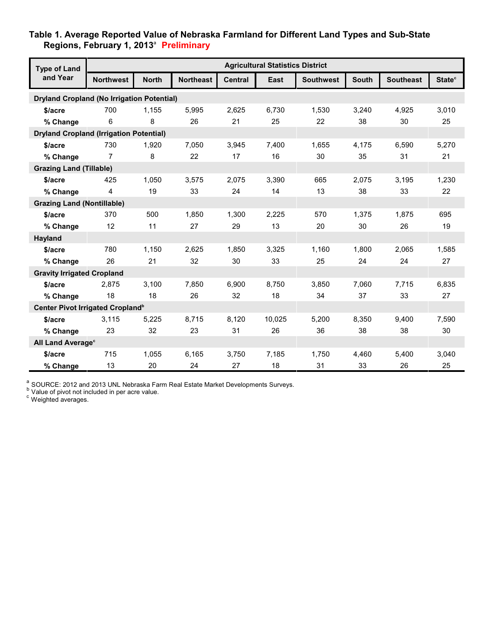## **Table 1. Average Reported Value of Nebraska Farmland for Different Land Types and Sub-State Regions, February 1, 2013** a  **Preliminary**

| <b>Type of Land</b><br>and Year                   | <b>Agricultural Statistics District</b> |              |                  |                |        |                  |              |                  |                           |
|---------------------------------------------------|-----------------------------------------|--------------|------------------|----------------|--------|------------------|--------------|------------------|---------------------------|
|                                                   | <b>Northwest</b>                        | <b>North</b> | <b>Northeast</b> | <b>Central</b> | East   | <b>Southwest</b> | <b>South</b> | <b>Southeast</b> | <b>State</b> <sup>c</sup> |
| <b>Dryland Cropland (No Irrigation Potential)</b> |                                         |              |                  |                |        |                  |              |                  |                           |
| \$/acre                                           | 700                                     | 1,155        | 5,995            | 2,625          | 6,730  | 1,530            | 3,240        | 4,925            | 3,010                     |
| % Change                                          | 6                                       | 8            | 26               | 21             | 25     | 22               | 38           | 30               | 25                        |
| <b>Dryland Cropland (Irrigation Potential)</b>    |                                         |              |                  |                |        |                  |              |                  |                           |
| \$/acre                                           | 730                                     | 1,920        | 7,050            | 3,945          | 7,400  | 1,655            | 4,175        | 6,590            | 5,270                     |
| % Change                                          | 7                                       | 8            | 22               | 17             | 16     | 30               | 35           | 31               | 21                        |
| <b>Grazing Land (Tillable)</b>                    |                                         |              |                  |                |        |                  |              |                  |                           |
| \$/acre                                           | 425                                     | 1,050        | 3,575            | 2,075          | 3,390  | 665              | 2,075        | 3,195            | 1,230                     |
| % Change                                          | 4                                       | 19           | 33               | 24             | 14     | 13               | 38           | 33               | 22                        |
| <b>Grazing Land (Nontillable)</b>                 |                                         |              |                  |                |        |                  |              |                  |                           |
| \$/acre                                           | 370                                     | 500          | 1,850            | 1,300          | 2,225  | 570              | 1,375        | 1,875            | 695                       |
| % Change                                          | 12                                      | 11           | 27               | 29             | 13     | 20               | 30           | 26               | 19                        |
| Hayland                                           |                                         |              |                  |                |        |                  |              |                  |                           |
| \$/acre                                           | 780                                     | 1,150        | 2,625            | 1,850          | 3,325  | 1,160            | 1,800        | 2,065            | 1,585                     |
| % Change                                          | 26                                      | 21           | 32               | 30             | 33     | 25               | 24           | 24               | 27                        |
| <b>Gravity Irrigated Cropland</b>                 |                                         |              |                  |                |        |                  |              |                  |                           |
| \$/acre                                           | 2,875                                   | 3,100        | 7,850            | 6,900          | 8,750  | 3,850            | 7,060        | 7,715            | 6,835                     |
| % Change                                          | 18                                      | 18           | 26               | 32             | 18     | 34               | 37           | 33               | 27                        |
| Center Pivot Irrigated Cropland <sup>b</sup>      |                                         |              |                  |                |        |                  |              |                  |                           |
| \$/acre                                           | 3,115                                   | 5,225        | 8,715            | 8,120          | 10,025 | 5,200            | 8,350        | 9,400            | 7,590                     |
| % Change                                          | 23                                      | 32           | 23               | 31             | 26     | 36               | 38           | 38               | 30                        |
| All Land Average <sup>c</sup>                     |                                         |              |                  |                |        |                  |              |                  |                           |
| \$/acre                                           | 715                                     | 1,055        | 6,165            | 3,750          | 7,185  | 1,750            | 4,460        | 5,400            | 3,040                     |
| % Change                                          | 13                                      | 20           | 24               | 27             | 18     | 31               | 33           | 26               | 25                        |

 $\frac{a}{b}$  SOURCE: 2012 and 2013 UNL Nebraska Farm Real Estate Market Developments Surveys.

 $b$  Value of pivot not included in per acre value.

c Weighted averages.